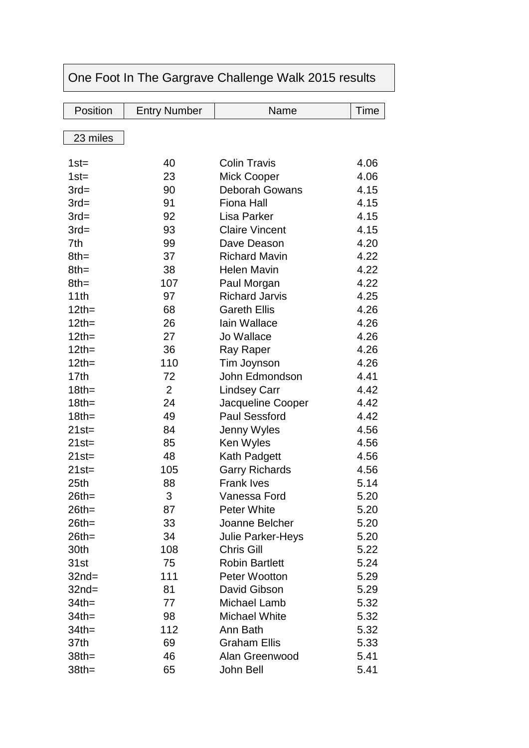## One Foot In The Gargrave Challenge Walk 2015 results

| <b>Position</b> | <b>Entry Number</b> | Name | l ime |
|-----------------|---------------------|------|-------|
|                 |                     |      |       |

23 miles

| $1st =$  | 40             | <b>Colin Travis</b>      | 4.06 |
|----------|----------------|--------------------------|------|
| $1st =$  | 23             | Mick Cooper              | 4.06 |
| $3rd=$   | 90             | <b>Deborah Gowans</b>    | 4.15 |
| $3rd=$   | 91             | Fiona Hall               | 4.15 |
| $3rd=$   | 92             | Lisa Parker              | 4.15 |
| $3rd=$   | 93             | <b>Claire Vincent</b>    | 4.15 |
| 7th      | 99             | Dave Deason              | 4.20 |
| $8th =$  | 37             | <b>Richard Mavin</b>     | 4.22 |
| $8th =$  | 38             | <b>Helen Mavin</b>       | 4.22 |
| $8th =$  | 107            | Paul Morgan              | 4.22 |
| 11th     | 97             | <b>Richard Jarvis</b>    | 4.25 |
| $12$ th= | 68             | <b>Gareth Ellis</b>      | 4.26 |
| $12$ th= | 26             | lain Wallace             | 4.26 |
| $12th =$ | 27             | Jo Wallace               | 4.26 |
| $12$ th= | 36             | Ray Raper                | 4.26 |
| $12$ th= | 110            | Tim Joynson              | 4.26 |
| 17th     | 72             | John Edmondson           | 4.41 |
| $18th =$ | $\overline{2}$ | <b>Lindsey Carr</b>      | 4.42 |
| $18th =$ | 24             | Jacqueline Cooper        | 4.42 |
| $18th =$ | 49             | <b>Paul Sessford</b>     | 4.42 |
| $21st =$ | 84             | Jenny Wyles              | 4.56 |
| $21st =$ | 85             | Ken Wyles                | 4.56 |
| $21st =$ | 48             | Kath Padgett             | 4.56 |
| $21st =$ | 105            | <b>Garry Richards</b>    | 4.56 |
| 25th     | 88             | <b>Frank Ives</b>        | 5.14 |
| $26th =$ | 3              | Vanessa Ford             | 5.20 |
| $26th =$ | 87             | <b>Peter White</b>       | 5.20 |
| $26th =$ | 33             | Joanne Belcher           | 5.20 |
| $26th =$ | 34             | <b>Julie Parker-Heys</b> | 5.20 |
| 30th     | 108            | <b>Chris Gill</b>        | 5.22 |
| 31st     | 75             | <b>Robin Bartlett</b>    | 5.24 |
| $32nd=$  | 111            | <b>Peter Wootton</b>     | 5.29 |
| $32nd =$ | 81             | David Gibson             | 5.29 |
| $34$ th= | 77             | Michael Lamb             | 5.32 |
| $34$ th= | 98             | Michael White            | 5.32 |
| $34$ th= | 112            | Ann Bath                 | 5.32 |
| 37th     | 69             | <b>Graham Ellis</b>      | 5.33 |
| $38th =$ | 46             | Alan Greenwood           | 5.41 |
| $38th =$ | 65             | John Bell                | 5.41 |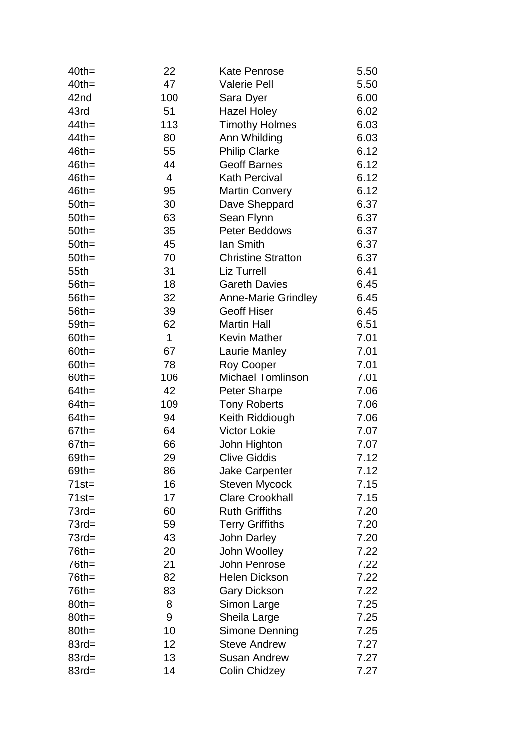| $40th =$ | 22  | <b>Kate Penrose</b>        | 5.50 |
|----------|-----|----------------------------|------|
| $40th =$ | 47  | <b>Valerie Pell</b>        | 5.50 |
| 42nd     | 100 | Sara Dyer                  | 6.00 |
| 43rd     | 51  | <b>Hazel Holey</b>         | 6.02 |
| $44$ th= | 113 | <b>Timothy Holmes</b>      | 6.03 |
| $44th =$ | 80  | Ann Whilding               | 6.03 |
| $46th =$ | 55  | <b>Philip Clarke</b>       | 6.12 |
| $46th =$ | 44  | <b>Geoff Barnes</b>        | 6.12 |
| $46th =$ | 4   | <b>Kath Percival</b>       | 6.12 |
| $46th =$ | 95  | <b>Martin Convery</b>      | 6.12 |
| $50th =$ | 30  | Dave Sheppard              | 6.37 |
| $50th =$ | 63  | Sean Flynn                 | 6.37 |
| $50th =$ | 35  | <b>Peter Beddows</b>       | 6.37 |
| $50th =$ | 45  | lan Smith                  | 6.37 |
| $50th =$ | 70  | <b>Christine Stratton</b>  | 6.37 |
| 55th     | 31  | <b>Liz Turrell</b>         | 6.41 |
| $56th =$ | 18  | <b>Gareth Davies</b>       | 6.45 |
| $56th =$ | 32  | <b>Anne-Marie Grindley</b> | 6.45 |
| $56th =$ | 39  | <b>Geoff Hiser</b>         | 6.45 |
| $59th =$ | 62  | <b>Martin Hall</b>         | 6.51 |
| $60th =$ | 1   | Kevin Mather               | 7.01 |
| $60th =$ | 67  | Laurie Manley              | 7.01 |
| $60th =$ | 78  | Roy Cooper                 | 7.01 |
| $60th =$ | 106 | <b>Michael Tomlinson</b>   | 7.01 |
| $64$ th= | 42  | <b>Peter Sharpe</b>        | 7.06 |
| $64$ th= | 109 | <b>Tony Roberts</b>        | 7.06 |
| $64$ th= | 94  | Keith Riddiough            | 7.06 |
| $67$ th= | 64  | <b>Victor Lokie</b>        | 7.07 |
| $67th =$ | 66  | John Highton               | 7.07 |
| $69th =$ | 29  | <b>Clive Giddis</b>        | 7.12 |
| $69th =$ | 86  | <b>Jake Carpenter</b>      | 7.12 |
| $71st =$ | 16  | <b>Steven Mycock</b>       | 7.15 |
| $71st =$ | 17  | <b>Clare Crookhall</b>     | 7.15 |
| $73rd=$  | 60  | <b>Ruth Griffiths</b>      | 7.20 |
| $73rd=$  | 59  | <b>Terry Griffiths</b>     | 7.20 |
| $73rd=$  | 43  | <b>John Darley</b>         | 7.20 |
| $76th =$ | 20  | John Woolley               | 7.22 |
| $76th =$ | 21  | John Penrose               | 7.22 |
| $76th =$ | 82  | <b>Helen Dickson</b>       | 7.22 |
| $76th =$ | 83  | <b>Gary Dickson</b>        | 7.22 |
| $80th =$ | 8   | Simon Large                | 7.25 |
| $80th =$ | 9   | Sheila Large               | 7.25 |
| $80th =$ | 10  | Simone Denning             | 7.25 |
| $83rd=$  | 12  | <b>Steve Andrew</b>        | 7.27 |
| $83rd=$  | 13  | <b>Susan Andrew</b>        | 7.27 |
| $83rd=$  | 14  | <b>Colin Chidzey</b>       | 7.27 |
|          |     |                            |      |